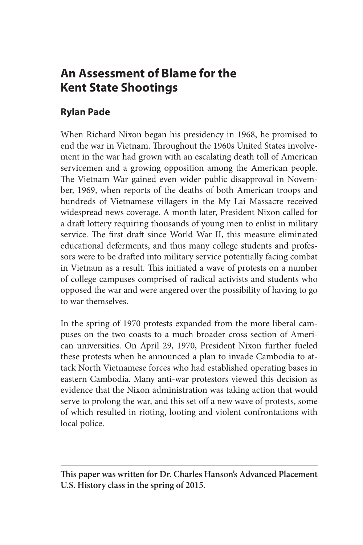# **An Assessment of Blame for the Kent State Shootings**

# **Rylan Pade**

When Richard Nixon began his presidency in 1968, he promised to end the war in Vietnam. Throughout the 1960s United States involvement in the war had grown with an escalating death toll of American servicemen and a growing opposition among the American people. The Vietnam War gained even wider public disapproval in November, 1969, when reports of the deaths of both American troops and hundreds of Vietnamese villagers in the My Lai Massacre received widespread news coverage. A month later, President Nixon called for a draft lottery requiring thousands of young men to enlist in military service. The first draft since World War II, this measure eliminated educational deferments, and thus many college students and professors were to be drafted into military service potentially facing combat in Vietnam as a result. This initiated a wave of protests on a number of college campuses comprised of radical activists and students who opposed the war and were angered over the possibility of having to go to war themselves.

In the spring of 1970 protests expanded from the more liberal campuses on the two coasts to a much broader cross section of American universities. On April 29, 1970, President Nixon further fueled these protests when he announced a plan to invade Cambodia to attack North Vietnamese forces who had established operating bases in eastern Cambodia. Many anti-war protestors viewed this decision as evidence that the Nixon administration was taking action that would serve to prolong the war, and this set off a new wave of protests, some of which resulted in rioting, looting and violent confrontations with local police.

**This paper was written for Dr. Charles Hanson's Advanced Placement U.S. History class in the spring of 2015.**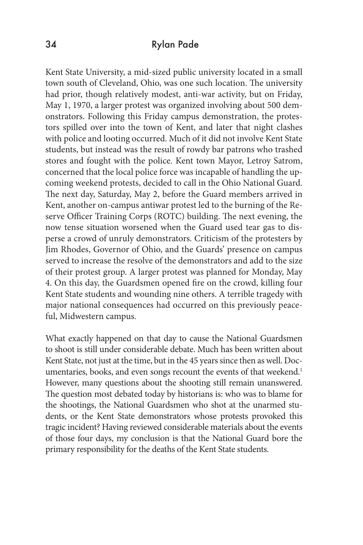Kent State University, a mid-sized public university located in a small town south of Cleveland, Ohio, was one such location. The university had prior, though relatively modest, anti-war activity, but on Friday, May 1, 1970, a larger protest was organized involving about 500 demonstrators. Following this Friday campus demonstration, the protestors spilled over into the town of Kent, and later that night clashes with police and looting occurred. Much of it did not involve Kent State students, but instead was the result of rowdy bar patrons who trashed stores and fought with the police. Kent town Mayor, Letroy Satrom, concerned that the local police force was incapable of handling the upcoming weekend protests, decided to call in the Ohio National Guard. The next day, Saturday, May 2, before the Guard members arrived in Kent, another on-campus antiwar protest led to the burning of the Reserve Officer Training Corps (ROTC) building. The next evening, the now tense situation worsened when the Guard used tear gas to disperse a crowd of unruly demonstrators. Criticism of the protesters by Jim Rhodes, Governor of Ohio, and the Guards' presence on campus served to increase the resolve of the demonstrators and add to the size of their protest group. A larger protest was planned for Monday, May 4. On this day, the Guardsmen opened fire on the crowd, killing four Kent State students and wounding nine others. A terrible tragedy with major national consequences had occurred on this previously peaceful, Midwestern campus.

What exactly happened on that day to cause the National Guardsmen to shoot is still under considerable debate. Much has been written about Kent State, not just at the time, but in the 45 years since then as well. Documentaries, books, and even songs recount the events of that weekend.<sup>1</sup> However, many questions about the shooting still remain unanswered. The question most debated today by historians is: who was to blame for the shootings, the National Guardsmen who shot at the unarmed students, or the Kent State demonstrators whose protests provoked this tragic incident? Having reviewed considerable materials about the events of those four days, my conclusion is that the National Guard bore the primary responsibility for the deaths of the Kent State students.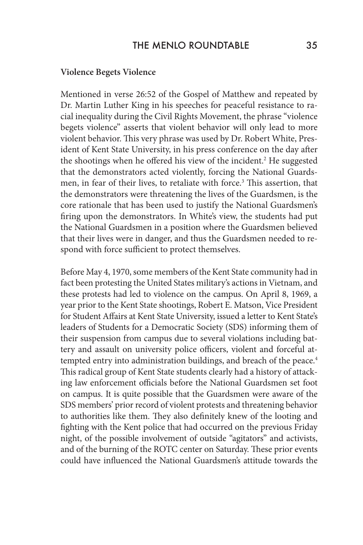#### **Violence Begets Violence**

Mentioned in verse 26:52 of the Gospel of Matthew and repeated by Dr. Martin Luther King in his speeches for peaceful resistance to racial inequality during the Civil Rights Movement, the phrase "violence begets violence" asserts that violent behavior will only lead to more violent behavior. This very phrase was used by Dr. Robert White, President of Kent State University, in his press conference on the day after the shootings when he offered his view of the incident.<sup>2</sup> He suggested that the demonstrators acted violently, forcing the National Guardsmen, in fear of their lives, to retaliate with force.3 This assertion, that the demonstrators were threatening the lives of the Guardsmen, is the core rationale that has been used to justify the National Guardsmen's firing upon the demonstrators. In White's view, the students had put the National Guardsmen in a position where the Guardsmen believed that their lives were in danger, and thus the Guardsmen needed to respond with force sufficient to protect themselves.

Before May 4, 1970, some members of the Kent State community had in fact been protesting the United States military's actions in Vietnam, and these protests had led to violence on the campus. On April 8, 1969, a year prior to the Kent State shootings, Robert E. Matson, Vice President for Student Affairs at Kent State University, issued a letter to Kent State's leaders of Students for a Democratic Society (SDS) informing them of their suspension from campus due to several violations including battery and assault on university police officers, violent and forceful attempted entry into administration buildings, and breach of the peace.<sup>4</sup> This radical group of Kent State students clearly had a history of attacking law enforcement officials before the National Guardsmen set foot on campus. It is quite possible that the Guardsmen were aware of the SDS members' prior record of violent protests and threatening behavior to authorities like them. They also definitely knew of the looting and fighting with the Kent police that had occurred on the previous Friday night, of the possible involvement of outside "agitators" and activists, and of the burning of the ROTC center on Saturday. These prior events could have influenced the National Guardsmen's attitude towards the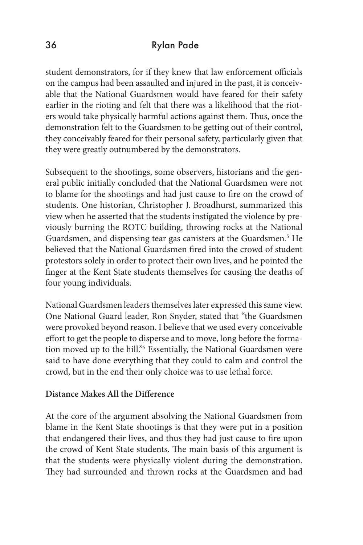student demonstrators, for if they knew that law enforcement officials on the campus had been assaulted and injured in the past, it is conceivable that the National Guardsmen would have feared for their safety earlier in the rioting and felt that there was a likelihood that the rioters would take physically harmful actions against them. Thus, once the demonstration felt to the Guardsmen to be getting out of their control, they conceivably feared for their personal safety, particularly given that they were greatly outnumbered by the demonstrators.

Subsequent to the shootings, some observers, historians and the general public initially concluded that the National Guardsmen were not to blame for the shootings and had just cause to fire on the crowd of students. One historian, Christopher J. Broadhurst, summarized this view when he asserted that the students instigated the violence by previously burning the ROTC building, throwing rocks at the National Guardsmen, and dispensing tear gas canisters at the Guardsmen.<sup>5</sup> He believed that the National Guardsmen fired into the crowd of student protestors solely in order to protect their own lives, and he pointed the finger at the Kent State students themselves for causing the deaths of four young individuals.

National Guardsmen leaders themselves later expressed this same view. One National Guard leader, Ron Snyder, stated that "the Guardsmen were provoked beyond reason. I believe that we used every conceivable effort to get the people to disperse and to move, long before the formation moved up to the hill."5 Essentially, the National Guardsmen were said to have done everything that they could to calm and control the crowd, but in the end their only choice was to use lethal force.

#### **Distance Makes All the Difference**

At the core of the argument absolving the National Guardsmen from blame in the Kent State shootings is that they were put in a position that endangered their lives, and thus they had just cause to fire upon the crowd of Kent State students. The main basis of this argument is that the students were physically violent during the demonstration. They had surrounded and thrown rocks at the Guardsmen and had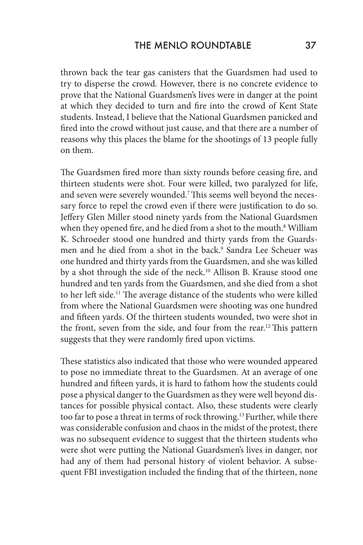thrown back the tear gas canisters that the Guardsmen had used to try to disperse the crowd. However, there is no concrete evidence to prove that the National Guardsmen's lives were in danger at the point at which they decided to turn and fire into the crowd of Kent State students. Instead, I believe that the National Guardsmen panicked and fired into the crowd without just cause, and that there are a number of reasons why this places the blame for the shootings of 13 people fully on them.

The Guardsmen fired more than sixty rounds before ceasing fire, and thirteen students were shot. Four were killed, two paralyzed for life, and seven were severely wounded.7 This seems well beyond the necessary force to repel the crowd even if there were justification to do so. Jeffery Glen Miller stood ninety yards from the National Guardsmen when they opened fire, and he died from a shot to the mouth.<sup>8</sup> William K. Schroeder stood one hundred and thirty yards from the Guardsmen and he died from a shot in the back.<sup>9</sup> Sandra Lee Scheuer was one hundred and thirty yards from the Guardsmen, and she was killed by a shot through the side of the neck.<sup>10</sup> Allison B. Krause stood one hundred and ten yards from the Guardsmen, and she died from a shot to her left side.<sup>11</sup> The average distance of the students who were killed from where the National Guardsmen were shooting was one hundred and fifteen yards. Of the thirteen students wounded, two were shot in the front, seven from the side, and four from the rear.<sup>12</sup> This pattern suggests that they were randomly fired upon victims.

These statistics also indicated that those who were wounded appeared to pose no immediate threat to the Guardsmen. At an average of one hundred and fifteen yards, it is hard to fathom how the students could pose a physical danger to the Guardsmen as they were well beyond distances for possible physical contact. Also, these students were clearly too far to pose a threat in terms of rock throwing.13 Further, while there was considerable confusion and chaos in the midst of the protest, there was no subsequent evidence to suggest that the thirteen students who were shot were putting the National Guardsmen's lives in danger, nor had any of them had personal history of violent behavior. A subsequent FBI investigation included the finding that of the thirteen, none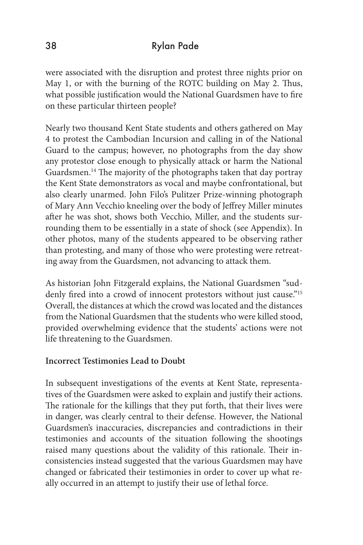were associated with the disruption and protest three nights prior on May 1, or with the burning of the ROTC building on May 2. Thus, what possible justification would the National Guardsmen have to fire on these particular thirteen people?

Nearly two thousand Kent State students and others gathered on May 4 to protest the Cambodian Incursion and calling in of the National Guard to the campus; however, no photographs from the day show any protestor close enough to physically attack or harm the National Guardsmen.14 The majority of the photographs taken that day portray the Kent State demonstrators as vocal and maybe confrontational, but also clearly unarmed. John Filo's Pulitzer Prize-winning photograph of Mary Ann Vecchio kneeling over the body of Jeffrey Miller minutes after he was shot, shows both Vecchio, Miller, and the students surrounding them to be essentially in a state of shock (see Appendix). In other photos, many of the students appeared to be observing rather than protesting, and many of those who were protesting were retreating away from the Guardsmen, not advancing to attack them.

As historian John Fitzgerald explains, the National Guardsmen "suddenly fired into a crowd of innocent protestors without just cause."<sup>15</sup> Overall, the distances at which the crowd was located and the distances from the National Guardsmen that the students who were killed stood, provided overwhelming evidence that the students' actions were not life threatening to the Guardsmen.

## **Incorrect Testimonies Lead to Doubt**

In subsequent investigations of the events at Kent State, representatives of the Guardsmen were asked to explain and justify their actions. The rationale for the killings that they put forth, that their lives were in danger, was clearly central to their defense. However, the National Guardsmen's inaccuracies, discrepancies and contradictions in their testimonies and accounts of the situation following the shootings raised many questions about the validity of this rationale. Their inconsistencies instead suggested that the various Guardsmen may have changed or fabricated their testimonies in order to cover up what really occurred in an attempt to justify their use of lethal force.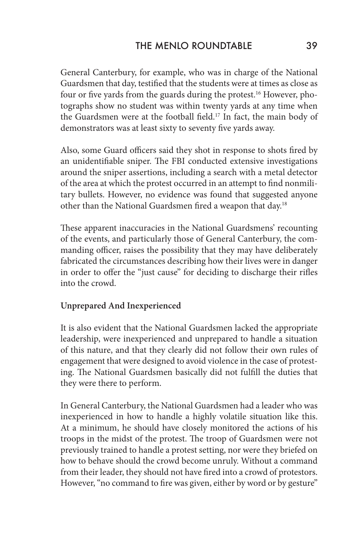General Canterbury, for example, who was in charge of the National Guardsmen that day, testified that the students were at times as close as four or five yards from the guards during the protest.16 However, photographs show no student was within twenty yards at any time when the Guardsmen were at the football field.<sup>17</sup> In fact, the main body of demonstrators was at least sixty to seventy five yards away.

Also, some Guard officers said they shot in response to shots fired by an unidentifiable sniper. The FBI conducted extensive investigations around the sniper assertions, including a search with a metal detector of the area at which the protest occurred in an attempt to find nonmilitary bullets. However, no evidence was found that suggested anyone other than the National Guardsmen fired a weapon that day.18

These apparent inaccuracies in the National Guardsmens' recounting of the events, and particularly those of General Canterbury, the commanding officer, raises the possibility that they may have deliberately fabricated the circumstances describing how their lives were in danger in order to offer the "just cause" for deciding to discharge their rifles into the crowd.

## **Unprepared And Inexperienced**

It is also evident that the National Guardsmen lacked the appropriate leadership, were inexperienced and unprepared to handle a situation of this nature, and that they clearly did not follow their own rules of engagement that were designed to avoid violence in the case of protesting. The National Guardsmen basically did not fulfill the duties that they were there to perform.

In General Canterbury, the National Guardsmen had a leader who was inexperienced in how to handle a highly volatile situation like this. At a minimum, he should have closely monitored the actions of his troops in the midst of the protest. The troop of Guardsmen were not previously trained to handle a protest setting, nor were they briefed on how to behave should the crowd become unruly. Without a command from their leader, they should not have fired into a crowd of protestors. However, "no command to fire was given, either by word or by gesture"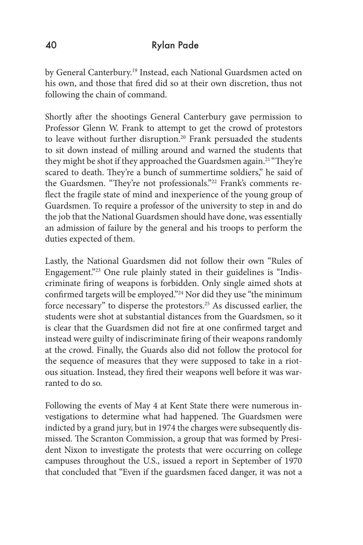by General Canterbury.<sup>19</sup> Instead, each National Guardsmen acted on his own, and those that fired did so at their own discretion, thus not following the chain of command.

Shortly after the shootings General Canterbury gave permission to Professor Glenn W. Frank to attempt to get the crowd of protestors to leave without further disruption.<sup>20</sup> Frank persuaded the students to sit down instead of milling around and warned the students that they might be shot if they approached the Guardsmen again.<sup>21</sup> "They're scared to death. They're a bunch of summertime soldiers," he said of the Guardsmen. "They're not professionals."22 Frank's comments reflect the fragile state of mind and inexperience of the young group of Guardsmen. To require a professor of the university to step in and do the job that the National Guardsmen should have done, was essentially an admission of failure by the general and his troops to perform the duties expected of them.

Lastly, the National Guardsmen did not follow their own "Rules of Engagement."23 One rule plainly stated in their guidelines is "Indiscriminate firing of weapons is forbidden. Only single aimed shots at confirmed targets will be employed."24 Nor did they use "the minimum force necessary" to disperse the protestors.<sup>25</sup> As discussed earlier, the students were shot at substantial distances from the Guardsmen, so it is clear that the Guardsmen did not fire at one confirmed target and instead were guilty of indiscriminate firing of their weapons randomly at the crowd. Finally, the Guards also did not follow the protocol for the sequence of measures that they were supposed to take in a riotous situation. Instead, they fired their weapons well before it was warranted to do so.

Following the events of May 4 at Kent State there were numerous investigations to determine what had happened. The Guardsmen were indicted by a grand jury, but in 1974 the charges were subsequently dismissed. The Scranton Commission, a group that was formed by President Nixon to investigate the protests that were occurring on college campuses throughout the U.S., issued a report in September of 1970 that concluded that "Even if the guardsmen faced danger, it was not a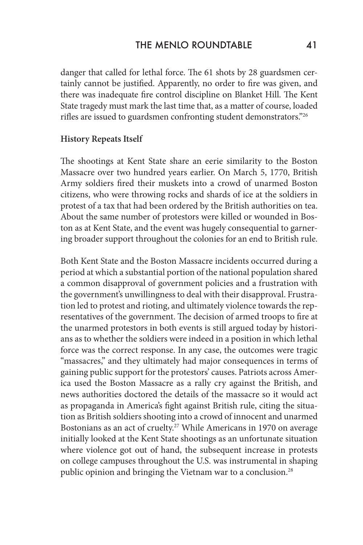danger that called for lethal force. The 61 shots by 28 guardsmen certainly cannot be justified. Apparently, no order to fire was given, and there was inadequate fire control discipline on Blanket Hill. The Kent State tragedy must mark the last time that, as a matter of course, loaded rifles are issued to guardsmen confronting student demonstrators."26

#### **History Repeats Itself**

The shootings at Kent State share an eerie similarity to the Boston Massacre over two hundred years earlier. On March 5, 1770, British Army soldiers fired their muskets into a crowd of unarmed Boston citizens, who were throwing rocks and shards of ice at the soldiers in protest of a tax that had been ordered by the British authorities on tea. About the same number of protestors were killed or wounded in Boston as at Kent State, and the event was hugely consequential to garnering broader support throughout the colonies for an end to British rule.

Both Kent State and the Boston Massacre incidents occurred during a period at which a substantial portion of the national population shared a common disapproval of government policies and a frustration with the government's unwillingness to deal with their disapproval. Frustration led to protest and rioting, and ultimately violence towards the representatives of the government. The decision of armed troops to fire at the unarmed protestors in both events is still argued today by historians as to whether the soldiers were indeed in a position in which lethal force was the correct response. In any case, the outcomes were tragic "massacres," and they ultimately had major consequences in terms of gaining public support for the protestors' causes. Patriots across America used the Boston Massacre as a rally cry against the British, and news authorities doctored the details of the massacre so it would act as propaganda in America's fight against British rule, citing the situation as British soldiers shooting into a crowd of innocent and unarmed Bostonians as an act of cruelty.27 While Americans in 1970 on average initially looked at the Kent State shootings as an unfortunate situation where violence got out of hand, the subsequent increase in protests on college campuses throughout the U.S. was instrumental in shaping public opinion and bringing the Vietnam war to a conclusion.<sup>28</sup>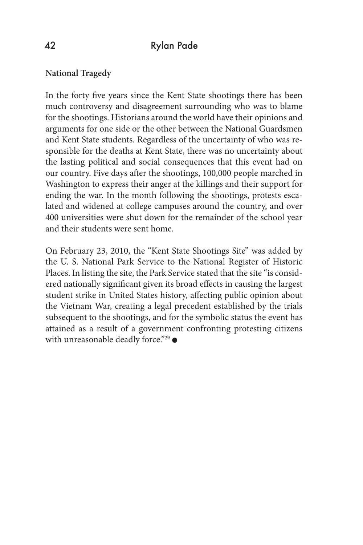#### **National Tragedy**

In the forty five years since the Kent State shootings there has been much controversy and disagreement surrounding who was to blame for the shootings. Historians around the world have their opinions and arguments for one side or the other between the National Guardsmen and Kent State students. Regardless of the uncertainty of who was responsible for the deaths at Kent State, there was no uncertainty about the lasting political and social consequences that this event had on our country. Five days after the shootings, 100,000 people marched in Washington to express their anger at the killings and their support for ending the war. In the month following the shootings, protests escalated and widened at college campuses around the country, and over 400 universities were shut down for the remainder of the school year and their students were sent home.

On February 23, 2010, the "Kent State Shootings Site" was added by the U. S. National Park Service to the National Register of Historic Places. In listing the site, the Park Service stated that the site "is considered nationally significant given its broad effects in causing the largest student strike in United States history, affecting public opinion about the Vietnam War, creating a legal precedent established by the trials subsequent to the shootings, and for the symbolic status the event has attained as a result of a government confronting protesting citizens with unreasonable deadly force."<sup>29</sup>  $\bullet$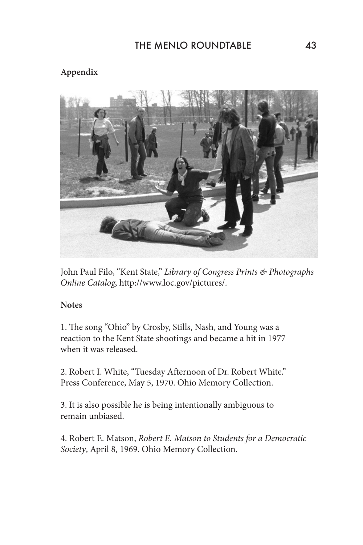# **Appendix**



John Paul Filo, "Kent State," *Library of Congress Prints & Photographs Online Catalog*, http://www.loc.gov/pictures/.

## **Notes**

1. The song "Ohio" by Crosby, Stills, Nash, and Young was a reaction to the Kent State shootings and became a hit in 1977 when it was released.

2. Robert I. White, "Tuesday Afternoon of Dr. Robert White." Press Conference, May 5, 1970. Ohio Memory Collection.

3. It is also possible he is being intentionally ambiguous to remain unbiased.

4. Robert E. Matson, *Robert E. Matson to Students for a Democratic Society*, April 8, 1969. Ohio Memory Collection.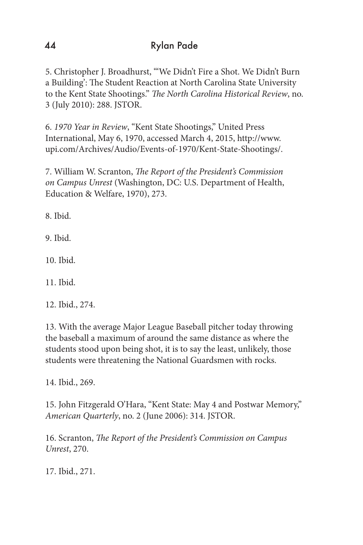5. Christopher J. Broadhurst, "'We Didn't Fire a Shot. We Didn't Burn a Building': The Student Reaction at North Carolina State University to the Kent State Shootings." *The North Carolina Historical Review*, no. 3 (July 2010): 288. JSTOR.

6. *1970 Year in Review*, "Kent State Shootings," United Press International, May 6, 1970, accessed March 4, 2015, http://www. upi.com/Archives/Audio/Events-of-1970/Kent-State-Shootings/.

7. William W. Scranton, *The Report of the President's Commission on Campus Unrest* (Washington, DC: U.S. Department of Health, Education & Welfare, 1970), 273.

8. Ibid.

9. Ibid.

10. Ibid.

11. Ibid.

12. Ibid., 274.

13. With the average Major League Baseball pitcher today throwing the baseball a maximum of around the same distance as where the students stood upon being shot, it is to say the least, unlikely, those students were threatening the National Guardsmen with rocks.

14. Ibid., 269.

15. John Fitzgerald O'Hara, "Kent State: May 4 and Postwar Memory," *American Quarterly*, no. 2 (June 2006): 314. JSTOR.

16. Scranton, *The Report of the President's Commission on Campus Unrest*, 270.

17. Ibid., 271.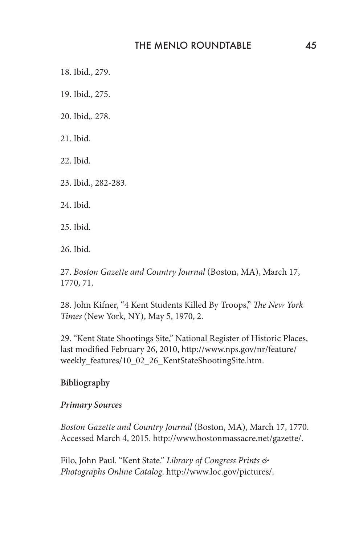18. Ibid., 279.

19. Ibid., 275.

20. Ibid,. 278.

21. Ibid.

22. Ibid.

23. Ibid., 282-283.

24. Ibid.

25. Ibid.

26. Ibid.

27. *Boston Gazette and Country Journal* (Boston, MA), March 17, 1770, 71.

28. John Kifner, "4 Kent Students Killed By Troops," *The New York Times* (New York, NY), May 5, 1970, 2.

29. "Kent State Shootings Site," National Register of Historic Places, last modified February 26, 2010, http://www.nps.gov/nr/feature/ weekly\_features/10\_02\_26\_KentStateShootingSite.htm.

#### **Bibliography**

#### *Primary Sources*

*Boston Gazette and Country Journal* (Boston, MA), March 17, 1770. Accessed March 4, 2015. http://www.bostonmassacre.net/gazette/.

Filo, John Paul. "Kent State." *Library of Congress Prints & Photographs Online Catalog*. http://www.loc.gov/pictures/.